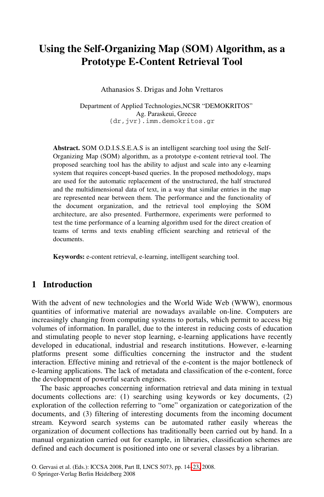# **Using the Self-Organizing Map (SOM) Algorithm, as a Prototype E-Content Retrieval Tool**

Athanasios S. Drigas and John Vrettaros

Department of Applied Technologies,NCSR "DEMOKRITOS" Ag. Paraskeui, Greece {dr,jvr}.imm.demokritos.gr

**Abstract.** SOM O.D.I.S.S.E.A.S is an intelligent searching tool using the Self-Organizing Map (SOM) algorithm, as a prototype e-content retrieval tool. The proposed searching tool has the ability to adjust and scale into any e-learning system that requires concept-based queries. In the proposed methodology, maps are used for the automatic replacement of the unstructured, the half structured and the multidimensional data of text, in a way that similar entries in the map are represented near between them. The performance and the functionality of the document organization, and the retrieval tool employing the SOM architecture, are also presented. Furthermore, experiments were performed to test the time performance of a learning algorithm used for the direct creation of teams of terms and texts enabling efficient searching and retrieval of the documents.

**Keywords:** e-content retrieval, e-learning, intelligent searching tool.

### **1 Introduction**

With the advent of new technologies and the World Wide Web (WWW), enormous quantities of informative material are nowadays available on-line. Computers are increasingly changing from computing systems to portals, which permit to access big volumes of information. In parallel, due to the interest in reducing costs of education and stimulating people to never stop learning, e-learning applications have recently developed in educational, industrial and research institutions. However, e-learning platforms present some difficulties concerning the instructor and the student interaction. Effective mining and retrieval of the e-content is the major bottleneck of e-learning applications. The lack of metadata and classification of the e-content, force the development of powerful search engines.

The basic approaches concerning information retrieval and data mining in textual documents collections are: (1[\) se](#page-9-0)arching using keywords or key documents, (2) exploration of the collection referring to "ome" organization or categorization of the documents, and (3) filtering of interesting documents from the incoming document stream. Keyword search systems can be automated rather easily whereas the organization of document collections has traditionally been carried out by hand. In a manual organization carried out for example, in libraries, classification schemes are defined and each document is positioned into one or several classes by a librarian.

O. Gervasi et al. (Eds.): ICCSA 2008, Part II, LNCS 5073, pp. 14–23, 2008.

<sup>©</sup> Springer-Verlag Berlin Heidelberg 2008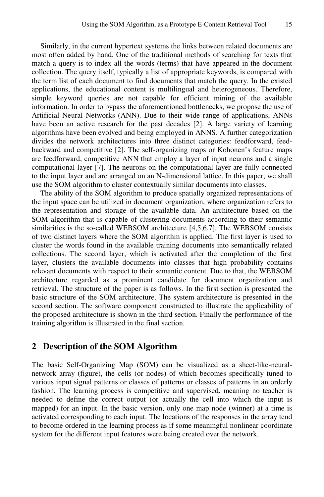Similarly, in the current hypertext systems the links between related documents are most often added by hand. One of the traditional methods of searching for texts that match a query is to index all the words (terms) that have appeared in the document collection. The query itself, typically a list of appropriate keywords, is compared with the term list of each document to find documents that match the query. In the existed applications, the educational content is multilingual and heterogeneous. Therefore, simple keyword queries are not capable for efficient mining of the available information. In order to bypass the aforementioned bottlenecks, we propose the use of Artificial Neural Networks (ANN). Due to their wide range of applications, ANNs have been an active research for the past decades [2]. A large variety of learning algorithms have been evolved and being employed in ANNS. A further categorization divides the network architectures into three distinct categories: feedforward, feedbackward and competitive [2]. The self-organizing maps or Kohonen's feature maps are feedforward, competitive ANN that employ a layer of input neurons and a single computational layer [7]. The neurons on the computational layer are fully connected to the input layer and are arranged on an N-dimensional lattice. In this paper, we shall use the SOM algorithm to cluster contextually similar documents into classes.

The ability of the SOM algorithm to produce spatially organized representations of the input space can be utilized in document organization, where organization refers to the representation and storage of the available data. An architecture based on the SOM algorithm that is capable of clustering documents according to their semantic similarities is the so-called WEBSOM architecture [4,5,6,7]. The WEBSOM consists of two distinct layers where the SOM algorithm is applied. The first layer is used to cluster the words found in the available training documents into semantically related collections. The second layer, which is activated after the completion of the first layer, clusters the available documents into classes that high probability contains relevant documents with respect to their semantic content. Due to that, the WEBSOM architecture regarded as a prominent candidate for document organization and retrieval. The structure of the paper is as follows. In the first section is presented the basic structure of the SOM architecture. The system architecture is presented in the second section. The software component constructed to illustrate the applicability of the proposed architecture is shown in the third section. Finally the performance of the training algorithm is illustrated in the final section.

#### **2 Description of the SOM Algorithm**

The basic Self-Organizing Map (SOM) can be visualized as a sheet-like-neuralnetwork array (figure), the cells (or nodes) of which becomes specifically tuned to various input signal patterns or classes of patterns or classes of patterns in an orderly fashion. The learning process is competitive and supervised, meaning no teacher is needed to define the correct output (or actually the cell into which the input is mapped) for an input. In the basic version, only one map node (winner) at a time is activated corresponding to each input. The locations of the responses in the array tend to become ordered in the learning process as if some meaningful nonlinear coordinate system for the different input features were being created over the network.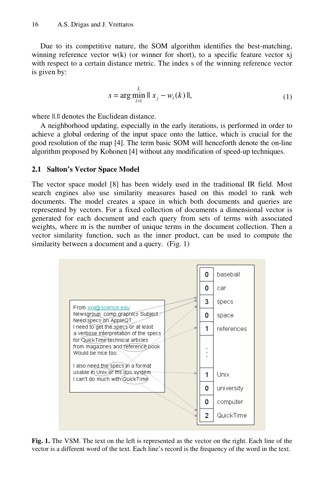Due to its competitive nature, the SOM algorithm identifies the best-matching, winning reference vector  $w(k)$  (or winner for short), to a specific feature vector  $x<sub>i</sub>$ with respect to a certain distance metric. The index s of the winning reference vector is given by:

$$
s = \arg\min_{l=1}^{L} \|x_j - w_l(k)\|,
$$
 (1)

where  $\| \cdot \|$  denotes the Euclidean distance.

A neighborhood updating, especially in the early iterations, is performed in order to achieve a global ordering of the input space onto the lattice, which is crucial for the good resolution of the map [4]. The term basic SOM will henceforth denote the on-line algorithm proposed by Kohonen [4] without any modification of speed-up techniques.

#### **2.1 Salton's Vector Space Model**

The vector space model [8] has been widely used in the traditional IR field. Most search engines also use similarity measures based on this model to rank web documents. The model creates a space in which both documents and queries are represented by vectors. For a fixed collection of documents a dimensional vector is generated for each document and each query from sets of terms with associated weights, where m is the number of unique terms in the document collection. Then a vector similarity function, such as the inner product, can be used to compute the similarity between a document and a query. (Fig. 1)



**Fig. 1.** The VSM. The text on the left is represented as the vector on the right. Each line of the vector is a different word of the text. Each line's record is the frequency of the word in the text.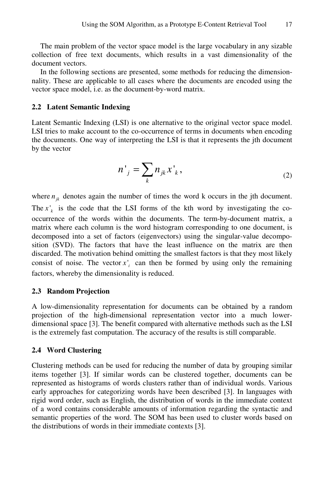The main problem of the vector space model is the large vocabulary in any sizable collection of free text documents, which results in a vast dimensionality of the document vectors.

In the following sections are presented, some methods for reducing the dimensionnality. These are applicable to all cases where the documents are encoded using the vector space model, i.e. as the document-by-word matrix.

#### **2.2 Latent Semantic Indexing**

Latent Semantic Indexing (LSI) is one alternative to the original vector space model. LSI tries to make account to the co-occurrence of terms in documents when encoding the documents. One way of interpreting the LSI is that it represents the jth document by the vector

$$
n'_{j} = \sum_{k} n_{jk} x'_{k}, \qquad (2)
$$

where  $n_{ik}$  denotes again the number of times the word k occurs in the jth document. The  $x'_{k}$  is the code that the LSI forms of the kth word by investigating the cooccurrence of the words within the documents. The term-by-document matrix, a matrix where each column is the word histogram corresponding to one document, is decomposed into a set of factors (eigenvectors) using the singular-value decomposition (SVD). The factors that have the least influence on the matrix are then discarded. The motivation behind omitting the smallest factors is that they most likely consist of noise. The vector  $x_i$  can then be formed by using only the remaining factors, whereby the dimensionality is reduced.

#### **2.3 Random Projection**

A low-dimensionality representation for documents can be obtained by a random projection of the high-dimensional representation vector into a much lowerdimensional space [3]. The benefit compared with alternative methods such as the LSI is the extremely fast computation. The accuracy of the results is still comparable.

#### **2.4 Word Clustering**

Clustering methods can be used for reducing the number of data by grouping similar items together [3]. If similar words can be clustered together, documents can be represented as histograms of words clusters rather than of individual words. Various early approaches for categorizing words have been described [3]. In languages with rigid word order, such as English, the distribution of words in the immediate context of a word contains considerable amounts of information regarding the syntactic and semantic properties of the word. The SOM has been used to cluster words based on the distributions of words in their immediate contexts [3].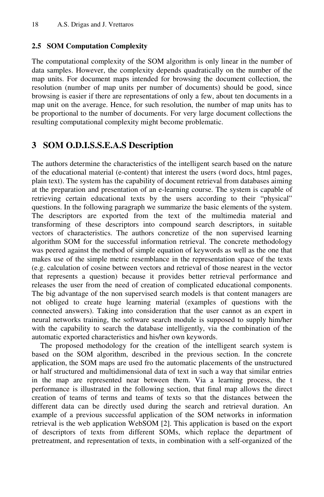#### **2.5 SOM Computation Complexity**

The computational complexity of the SOM algorithm is only linear in the number of data samples. However, the complexity depends quadratically on the number of the map units. For document maps intended for browsing the document collection, the resolution (number of map units per number of documents) should be good, since browsing is easier if there are representations of only a few, about ten documents in a map unit on the average. Hence, for such resolution, the number of map units has to be proportional to the number of documents. For very large document collections the resulting computational complexity might become problematic.

### **3 SOM O.D.I.S.S.E.A.S Description**

The authors determine the characteristics of the intelligent search based on the nature of the educational material (e-content) that interest the users (word docs, html pages, plain text). The system has the capability of document retrieval from databases aiming at the preparation and presentation of an e-learning course. The system is capable of retrieving certain educational texts by the users according to their "physical" questions. In the following paragraph we summarize the basic elements of the system. The descriptors are exported from the text of the multimedia material and transforming of these descriptors into compound search descriptors, in suitable vectors of characteristics. The authors concretize of the non supervised learning algorithm SOM for the successful information retrieval. The concrete methodology was peered against the method of simple equation of keywords as well as the one that makes use of the simple metric resemblance in the representation space of the texts (e.g. calculation of cosine between vectors and retrieval of those nearest in the vector that represents a question) because it provides better retrieval performance and releases the user from the need of creation of complicated educational components. The big advantage of the non supervised search models is that content managers are not obliged to create huge learning material (examples of questions with the connected answers). Taking into consideration that the user cannot as an expert in neural networks training, the software search module is supposed to supply him/her with the capability to search the database intelligently, via the combination of the automatic exported characteristics and his/her own keywords.

The proposed methodology for the creation of the intelligent search system is based on the SOM algorithm, described in the previous section. In the concrete application, the SOM maps are used fro the automatic placements of the unstructured or half structured and multidimensional data of text in such a way that similar entries in the map are represented near between them. Via a learning process, the t performance is illustrated in the following section, that final map allows the direct creation of teams of terms and teams of texts so that the distances between the different data can be directly used during the search and retrieval duration. An example of a previous successful application of the SOM networks in information retrieval is the web application WebSOM [2]. This application is based on the export of descriptors of texts from different SOMs, which replace the department of pretreatment, and representation of texts, in combination with a self-organized of the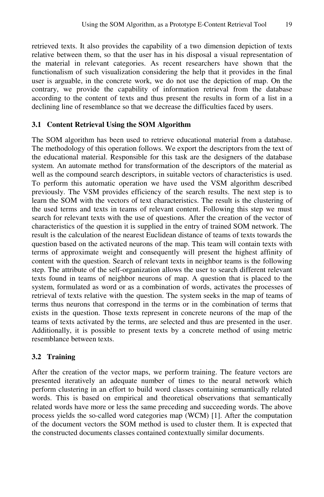retrieved texts. It also provides the capability of a two dimension depiction of texts relative between them, so that the user has in his disposal a visual representation of the material in relevant categories. As recent researchers have shown that the functionalism of such visualization considering the help that it provides in the final user is arguable, in the concrete work, we do not use the depiction of map. On the contrary, we provide the capability of information retrieval from the database according to the content of texts and thus present the results in form of a list in a declining line of resemblance so that we decrease the difficulties faced by users.

#### **3.1 Content Retrieval Using the SOM Algorithm**

The SOM algorithm has been used to retrieve educational material from a database. The methodology of this operation follows. We export the descriptors from the text of the educational material. Responsible for this task are the designers of the database system. An automate method for transformation of the descriptors of the material as well as the compound search descriptors, in suitable vectors of characteristics is used. To perform this automatic operation we have used the VSM algorithm described previously. The VSM provides efficiency of the search results. The next step is to learn the SOM with the vectors of text characteristics. The result is the clustering of the used terms and texts in teams of relevant content. Following this step we must search for relevant texts with the use of questions. After the creation of the vector of characteristics of the question it is supplied in the entry of trained SOM network. The result is the calculation of the nearest Euclidean distance of teams of texts towards the question based on the activated neurons of the map. This team will contain texts with terms of approximate weight and consequently will present the highest affinity of content with the question. Search of relevant texts in neighbor teams is the following step. The attribute of the self-organization allows the user to search different relevant texts found in teams of neighbor neurons of map. A question that is placed to the system, formulated as word or as a combination of words, activates the processes of retrieval of texts relative with the question. The system seeks in the map of teams of terms thus neurons that correspond in the terms or in the combination of terms that exists in the question. Those texts represent in concrete neurons of the map of the teams of texts activated by the terms, are selected and thus are presented in the user. Additionally, it is possible to present texts by a concrete method of using metric resemblance between texts.

### **3.2 Training**

After the creation of the vector maps, we perform training. The feature vectors are presented iteratively an adequate number of times to the neural network which perform clustering in an effort to build word classes containing semantically related words. This is based on empirical and theoretical observations that semantically related words have more or less the same preceding and succeeding words. The above process yields the so-called word categories map (WCM) [1]. After the computation of the document vectors the SOM method is used to cluster them. It is expected that the constructed documents classes contained contextually similar documents.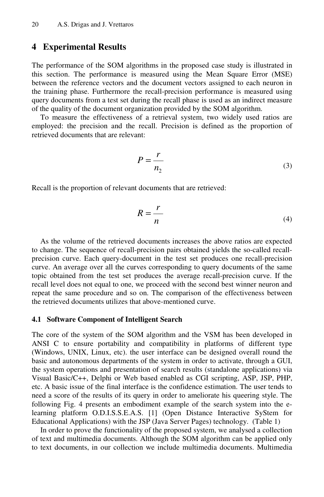### **4 Experimental Results**

The performance of the SOM algorithms in the proposed case study is illustrated in this section. The performance is measured using the Mean Square Error (MSE) between the reference vectors and the document vectors assigned to each neuron in the training phase. Furthermore the recall-precision performance is measured using query documents from a test set during the recall phase is used as an indirect measure of the quality of the document organization provided by the SOM algorithm.

To measure the effectiveness of a retrieval system, two widely used ratios are employed: the precision and the recall. Precision is defined as the proportion of retrieved documents that are relevant:

$$
P = \frac{r}{n_2} \tag{3}
$$

Recall is the proportion of relevant documents that are retrieved:

$$
R = \frac{r}{n} \tag{4}
$$

As the volume of the retrieved documents increases the above ratios are expected to change. The sequence of recall-precision pairs obtained yields the so-called recallprecision curve. Each query-document in the test set produces one recall-precision curve. An average over all the curves corresponding to query documents of the same topic obtained from the test set produces the average recall-precision curve. If the recall level does not equal to one, we proceed with the second best winner neuron and repeat the same procedure and so on. The comparison of the effectiveness between the retrieved documents utilizes that above-mentioned curve.

#### **4.1 Software Component of Intelligent Search**

The core of the system of the SOM algorithm and the VSM has been developed in ANSI C to ensure portability and compatibility in platforms of different type (Windows, UNIX, Linux, etc). the user interface can be designed overall round the basic and autonomous departments of the system in order to activate, through a GUI, the system operations and presentation of search results (standalone applications) via Visual Basic/C++, Delphi or Web based enabled as CGI scripting, ASP, JSP, PHP, etc. A basic issue of the final interface is the confidence estimation. The user tends to need a score of the results of its query in order to ameliorate his queering style. The following Fig. 4 presents an embodiment example of the search system into the elearning platform O.D.I.S.S.E.A.S. [1] (Open Distance Interactive SyStem for Educational Applications) with the JSP (Java Server Pages) technology. (Table 1)

In order to prove the functionality of the proposed system, we analysed a collection of text and multimedia documents. Although the SOM algorithm can be applied only to text documents, in our collection we include multimedia documents. Multimedia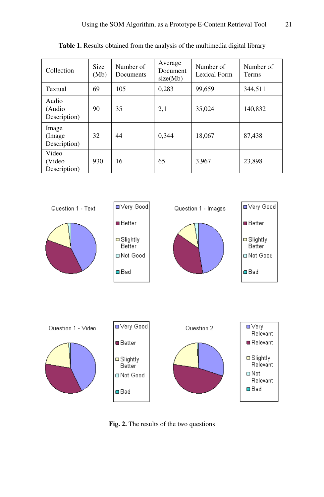| Collection                       | <b>Size</b><br>(Mb) | Number of<br>Documents | Average<br><b>Document</b><br>size(Mb) | Number of<br>Lexical Form | Number of<br>Terms |
|----------------------------------|---------------------|------------------------|----------------------------------------|---------------------------|--------------------|
| Textual                          | 69                  | 105                    | 0,283                                  | 99,659                    | 344,511            |
| Audio<br>(Audio<br>Description)  | 90                  | 35                     | 2,1                                    | 35,024                    | 140,832            |
| Image<br>(Image)<br>Description) | 32                  | 44                     | 0,344                                  | 18,067                    | 87,438             |
| Video<br>(Video<br>Description)  | 930                 | 16                     | 65                                     | 3,967                     | 23,898             |

**Table 1.** Results obtained from the analysis of the multimedia digital library



**Fig. 2.** The results of the two questions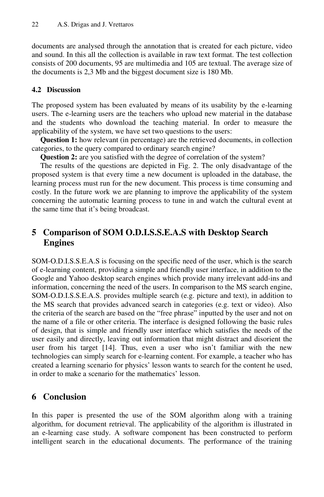documents are analysed through the annotation that is created for each picture, video and sound. In this all the collection is available in raw text format. The test collection consists of 200 documents, 95 are multimedia and 105 are textual. The average size of the documents is 2,3 Mb and the biggest document size is 180 Mb.

#### **4.2 Discussion**

The proposed system has been evaluated by means of its usability by the e-learning users. The e-learning users are the teachers who upload new material in the database and the students who download the teaching material. In order to measure the applicability of the system, we have set two questions to the users:

**Question 1:** how relevant (in percentage) are the retrieved documents, in collection categories, to the query compared to ordinary search engine?

**Question 2:** are you satisfied with the degree of correlation of the system?

The results of the questions are depicted in Fig. 2. The only disadvantage of the proposed system is that every time a new document is uploaded in the database, the learning process must run for the new document. This process is time consuming and costly. In the future work we are planning to improve the applicability of the system concerning the automatic learning process to tune in and watch the cultural event at the same time that it's being broadcast.

### **5 Comparison of SOM O.D.I.S.S.E.A.S with Desktop Search Engines**

SOM-O.D.I.S.S.E.A.S is focusing on the specific need of the user, which is the search of e-learning content, providing a simple and friendly user interface, in addition to the Google and Yahoo desktop search engines which provide many irrelevant add-ins and information, concerning the need of the users. In comparison to the MS search engine, SOM-O.D.I.S.S.E.A.S. provides multiple search (e.g. picture and text), in addition to the MS search that provides advanced search in categories (e.g. text or video). Also the criteria of the search are based on the "free phrase" inputted by the user and not on the name of a file or other criteria. The interface is designed following the basic rules of design, that is simple and friendly user interface which satisfies the needs of the user easily and directly, leaving out information that might distract and disorient the user from his target [14]. Thus, even a user who isn't familiar with the new technologies can simply search for e-learning content. For example, a teacher who has created a learning scenario for physics' lesson wants to search for the content he used, in order to make a scenario for the mathematics' lesson.

## **6 Conclusion**

In this paper is presented the use of the SOM algorithm along with a training algorithm, for document retrieval. The applicability of the algorithm is illustrated in an e-learning case study. A software component has been constructed to perform intelligent search in the educational documents. The performance of the training